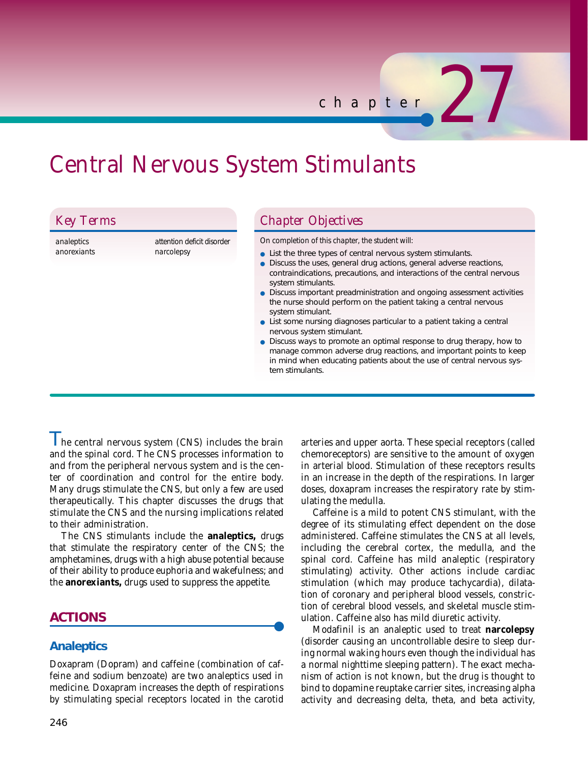# Central Nervous System Stimulants

| <b>Key Terms</b> |  |  |
|------------------|--|--|
|                  |  |  |

*analeptics anorexiants* *attention deficit disorder narcolepsy* 

## *Chapter Objectives*

*On completion of this chapter, the student will:* 

- List the three types of central nervous system stimulants.
- Discuss the uses, general drug actions, general adverse reactions, contraindications, precautions, and interactions of the central nervous system stimulants.

*chapter* 27

- Discuss important preadministration and ongoing assessment activities the nurse should perform on the patient taking a central nervous system stimulant.
- List some nursing diagnoses particular to a patient taking a central nervous system stimulant.
- Discuss ways to promote an optimal response to drug therapy, how to manage common adverse drug reactions, and important points to keep in mind when educating patients about the use of central nervous system stimulants.

I he central nervous system (CNS) includes the brain and the spinal cord. The CNS processes information to and from the peripheral nervous system and is the center of coordination and control for the entire body. Many drugs stimulate the CNS, but only a few are used therapeutically. This chapter discusses the drugs that stimulate the CNS and the nursing implications related to their administration.

The CNS stimulants include the **analeptics,** drugs that stimulate the respiratory center of the CNS; the amphetamines, drugs with a high abuse potential because of their ability to produce euphoria and wakefulness; and the **anorexiants,** drugs used to suppress the appetite.

## **ACTIONS** ●

## **Analeptics**

Doxapram (Dopram) and caffeine (combination of caffeine and sodium benzoate) are two analeptics used in medicine. Doxapram increases the depth of respirations by stimulating special receptors located in the carotid arteries and upper aorta. These special receptors (called chemoreceptors) are sensitive to the amount of oxygen in arterial blood. Stimulation of these receptors results in an increase in the depth of the respirations. In larger doses, doxapram increases the respiratory rate by stimulating the medulla.

Caffeine is a mild to potent CNS stimulant, with the degree of its stimulating effect dependent on the dose administered. Caffeine stimulates the CNS at all levels, including the cerebral cortex, the medulla, and the spinal cord. Caffeine has mild analeptic (respiratory stimulating) activity. Other actions include cardiac stimulation (which may produce tachycardia), dilatation of coronary and peripheral blood vessels, constriction of cerebral blood vessels, and skeletal muscle stimulation. Caffeine also has mild diuretic activity.

Modafinil is an analeptic used to treat **narcolepsy** (disorder causing an uncontrollable desire to sleep during normal waking hours even though the individual has a normal nighttime sleeping pattern). The exact mechanism of action is not known, but the drug is thought to bind to dopamine reuptake carrier sites, increasing alpha activity and decreasing delta, theta, and beta activity,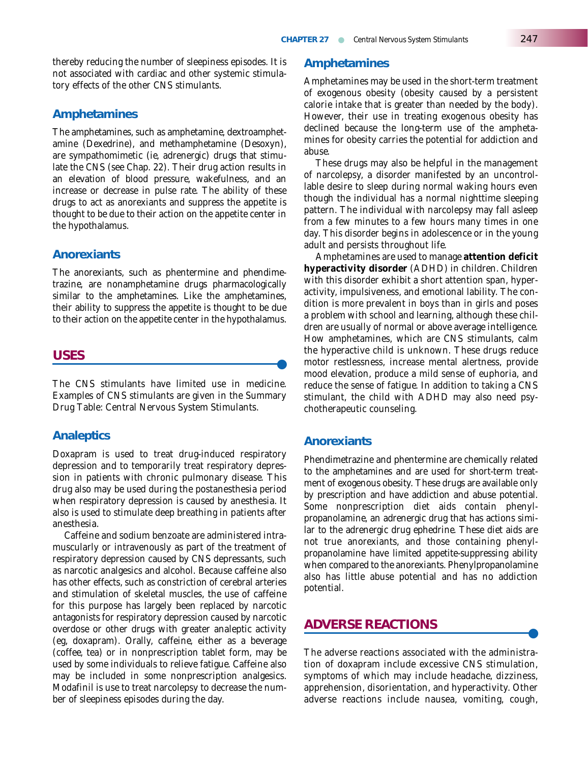thereby reducing the number of sleepiness episodes. It is not associated with cardiac and other systemic stimulatory effects of the other CNS stimulants.

#### **Amphetamines**

The amphetamines, such as amphetamine, dextroamphetamine (Dexedrine), and methamphetamine (Desoxyn), are sympathomimetic (ie, adrenergic) drugs that stimulate the CNS (see Chap. 22). Their drug action results in an elevation of blood pressure, wakefulness, and an increase or decrease in pulse rate. The ability of these drugs to act as anorexiants and suppress the appetite is thought to be due to their action on the appetite center in the hypothalamus.

#### **Anorexiants**

The anorexiants, such as phentermine and phendimetrazine, are nonamphetamine drugs pharmacologically similar to the amphetamines. Like the amphetamines, their ability to suppress the appetite is thought to be due to their action on the appetite center in the hypothalamus.

## **USES** ●

The CNS stimulants have limited use in medicine. Examples of CNS stimulants are given in the Summary Drug Table: Central Nervous System Stimulants.

### **Analeptics**

Doxapram is used to treat drug-induced respiratory depression and to temporarily treat respiratory depression in patients with chronic pulmonary disease. This drug also may be used during the postanesthesia period when respiratory depression is caused by anesthesia. It also is used to stimulate deep breathing in patients after anesthesia.

Caffeine and sodium benzoate are administered intramuscularly or intravenously as part of the treatment of respiratory depression caused by CNS depressants, such as narcotic analgesics and alcohol. Because caffeine also has other effects, such as constriction of cerebral arteries and stimulation of skeletal muscles, the use of caffeine for this purpose has largely been replaced by narcotic antagonists for respiratory depression caused by narcotic overdose or other drugs with greater analeptic activity (eg, doxapram). Orally, caffeine, either as a beverage (coffee, tea) or in nonprescription tablet form, may be used by some individuals to relieve fatigue. Caffeine also may be included in some nonprescription analgesics. Modafinil is use to treat narcolepsy to decrease the number of sleepiness episodes during the day.

#### **Amphetamines**

Amphetamines may be used in the short-term treatment of exogenous obesity (obesity caused by a persistent calorie intake that is greater than needed by the body). However, their use in treating exogenous obesity has declined because the long-term use of the amphetamines for obesity carries the potential for addiction and abuse.

These drugs may also be helpful in the management of narcolepsy, a disorder manifested by an uncontrollable desire to sleep during normal waking hours even though the individual has a normal nighttime sleeping pattern. The individual with narcolepsy may fall asleep from a few minutes to a few hours many times in one day. This disorder begins in adolescence or in the young adult and persists throughout life.

Amphetamines are used to manage **attention deficit hyperactivity disorder** (ADHD) in children. Children with this disorder exhibit a short attention span, hyperactivity, impulsiveness, and emotional lability. The condition is more prevalent in boys than in girls and poses a problem with school and learning, although these children are usually of normal or above average intelligence. How amphetamines, which are CNS stimulants, calm the hyperactive child is unknown. These drugs reduce motor restlessness, increase mental alertness, provide mood elevation, produce a mild sense of euphoria, and reduce the sense of fatigue. In addition to taking a CNS stimulant, the child with ADHD may also need psychotherapeutic counseling.

### **Anorexiants**

Phendimetrazine and phentermine are chemically related to the amphetamines and are used for short-term treatment of exogenous obesity. These drugs are available only by prescription and have addiction and abuse potential. Some nonprescription diet aids contain phenylpropanolamine, an adrenergic drug that has actions similar to the adrenergic drug ephedrine. These diet aids are not true anorexiants, and those containing phenylpropanolamine have limited appetite-suppressing ability when compared to the anorexiants. Phenylpropanolamine also has little abuse potential and has no addiction potential.

## **ADVERSE REACTIONS**

The adverse reactions associated with the administration of doxapram include excessive CNS stimulation, symptoms of which may include headache, dizziness, apprehension, disorientation, and hyperactivity. Other adverse reactions include nausea, vomiting, cough,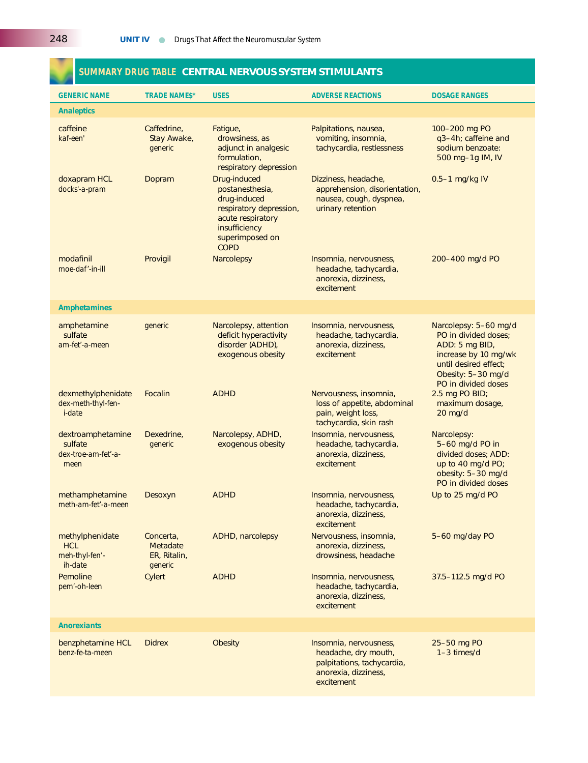|                                                             |                                                         | SUMMARY DRUG TABLE CENTRAL NERVOUS SYSTEM STIMULANTS                                                                                               |                                                                                                       |                                                                                                                                                               |
|-------------------------------------------------------------|---------------------------------------------------------|----------------------------------------------------------------------------------------------------------------------------------------------------|-------------------------------------------------------------------------------------------------------|---------------------------------------------------------------------------------------------------------------------------------------------------------------|
| <b>GENERIC NAME</b>                                         | <b>TRADE NAME\$*</b>                                    | <b>USES</b>                                                                                                                                        | <b>ADVERSE REACTIONS</b>                                                                              | <b>DOSAGE RANGES</b>                                                                                                                                          |
| <b>Analeptics</b>                                           |                                                         |                                                                                                                                                    |                                                                                                       |                                                                                                                                                               |
| caffeine<br>kaf-een'                                        | Caffedrine.<br>Stay Awake,<br>generic                   | Fatigue,<br>drowsiness, as<br>adjunct in analgesic<br>formulation,<br>respiratory depression                                                       | Palpitations, nausea,<br>vomiting, insomnia,<br>tachycardia, restlessness                             | 100-200 mg PO<br>q3-4h; caffeine and<br>sodium benzoate:<br>500 mg-1g IM, IV                                                                                  |
| doxapram HCL<br>docks'-a-pram                               | Dopram                                                  | Drug-induced<br>postanesthesia,<br>drug-induced<br>respiratory depression,<br>acute respiratory<br>insufficiency<br>superimposed on<br><b>COPD</b> | Dizziness, headache,<br>apprehension, disorientation,<br>nausea, cough, dyspnea,<br>urinary retention | 0.5-1 mg/kg IV                                                                                                                                                |
| modafinil<br>moe-daf'-in-ill                                | Provigil                                                | <b>Narcolepsy</b>                                                                                                                                  | Insomnia, nervousness,<br>headache, tachycardia,<br>anorexia, dizziness,<br>excitement                | 200-400 mg/d PO                                                                                                                                               |
| <b>Amphetamines</b>                                         |                                                         |                                                                                                                                                    |                                                                                                       |                                                                                                                                                               |
| amphetamine<br>sulfate<br>am-fet'-a-meen                    | generic                                                 | Narcolepsy, attention<br>deficit hyperactivity<br>disorder (ADHD),<br>exogenous obesity                                                            | Insomnia, nervousness,<br>headache, tachycardia,<br>anorexia, dizziness,<br>excitement                | Narcolepsy: 5-60 mg/d<br>PO in divided doses:<br>ADD: 5 mg BID,<br>increase by 10 mg/wk<br>until desired effect;<br>Obesity: 5-30 mg/d<br>PO in divided doses |
| dexmethylphenidate<br>dex-meth-thyl-fen-<br><i>i-date</i>   | <b>Focalin</b>                                          | <b>ADHD</b>                                                                                                                                        | Nervousness, insomnia,<br>loss of appetite, abdominal<br>pain, weight loss,<br>tachycardia, skin rash | 2.5 mg PO BID;<br>maximum dosage,<br>$20$ mg/d                                                                                                                |
| dextroamphetamine<br>sulfate<br>dex-troe-am-fet'-a-<br>meen | Dexedrine,<br>generic                                   | Narcolepsy, ADHD,<br>exogenous obesity                                                                                                             | Insomnia, nervousness,<br>headache, tachycardia,<br>anorexia, dizziness,<br>excitement                | Narcolepsy:<br>5-60 mg/d PO in<br>divided doses; ADD:<br>up to 40 mg/d PO;<br>obesity: 5-30 mg/d<br>PO in divided doses                                       |
| methamphetamine<br>meth-am-fet'-a-meen                      | Desoxyn                                                 | <b>ADHD</b>                                                                                                                                        | Insomnia, nervousness,<br>headache, tachycardia,<br>anorexia, dizziness,<br>excitement                | Up to 25 mg/d PO                                                                                                                                              |
| methylphenidate<br><b>HCL</b><br>meh-thyl-fen'-<br>ih-date  | Concerta,<br><b>Metadate</b><br>ER, Ritalin,<br>generic | <b>ADHD, narcolepsy</b>                                                                                                                            | Nervousness, insomnia,<br>anorexia, dizziness,<br>drowsiness, headache                                | 5-60 mg/day PO                                                                                                                                                |
| Pemoline<br>pem'-oh-leen                                    | Cylert                                                  | <b>ADHD</b>                                                                                                                                        | Insomnia, nervousness,<br>headache, tachycardia,                                                      | 37.5-112.5 mg/d PO                                                                                                                                            |

benzphetamine HCL Didrex Obesity Insomnia, nervousness, 25–50 mg PO<br>
benz-fe-ta-meen **Insomnia, nervousness, 25–50 mg PO**<br>
headache, dry mouth, 1-3 times/d

headache, tachycardia, anorexia, dizziness, excitement

headache, dry mouth, palpitations, tachycardia, anorexia, dizziness, excitement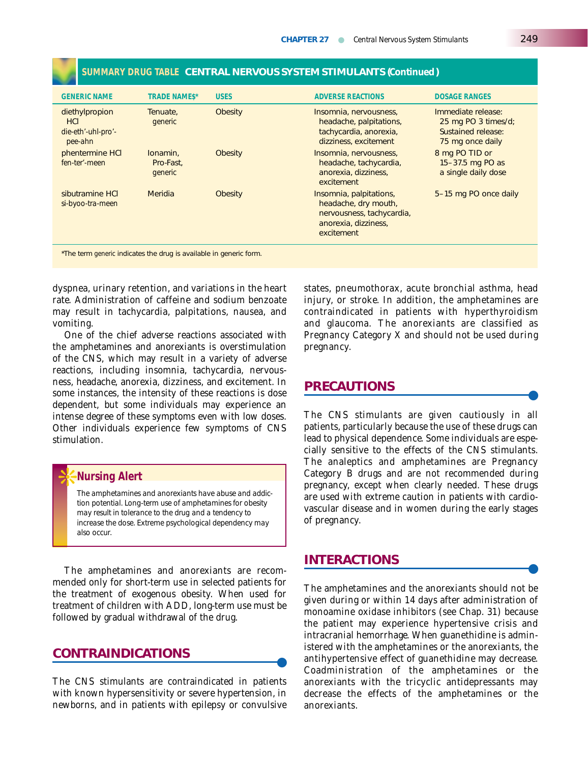| <b>GENERIC NAME</b>                                           | <b>TRADE NAMES*</b>              | <b>USES</b>    | <b>ADVERSE REACTIONS</b>                                                                                                                    | <b>DOSAGE RANGES</b>                                                                |
|---------------------------------------------------------------|----------------------------------|----------------|---------------------------------------------------------------------------------------------------------------------------------------------|-------------------------------------------------------------------------------------|
| diethylpropion<br><b>HCI</b><br>die-eth'-uhl-pro'-<br>pee-ahn | Tenuate,<br>generic              | <b>Obesity</b> | Insomnia, nervousness,<br>headache, palpitations,<br>tachycardia, anorexia,<br>dizziness, excitement                                        | Immediate release:<br>25 mg PO 3 times/d;<br>Sustained release:<br>75 mg once daily |
| phentermine HCI<br>fen-ter'-meen                              | lonamin.<br>Pro-Fast.<br>generic | <b>Obesity</b> | Insomnia, nervousness,<br>headache, tachycardia,<br>anorexia, dizziness,<br>excitement                                                      | 8 mg PO TID or<br>15-37.5 mg PO as<br>a single daily dose                           |
| sibutramine HCI<br>si-byoo-tra-meen                           | Meridia                          | <b>Obesity</b> | 5-15 mg PO once daily<br>Insomnia, palpitations,<br>headache, dry mouth,<br>nervousness, tachycardia,<br>anorexia, dizziness,<br>excitement |                                                                                     |

#### **SUMMARY DRUG TABLE CENTRAL NERVOUS SYSTEM STIMULANTS (***Continued***)**

\*The term *generic* indicates the drug is available in generic form.

dyspnea, urinary retention, and variations in the heart rate. Administration of caffeine and sodium benzoate may result in tachycardia, palpitations, nausea, and vomiting.

One of the chief adverse reactions associated with the amphetamines and anorexiants is overstimulation of the CNS, which may result in a variety of adverse reactions, including insomnia, tachycardia, nervousness, headache, anorexia, dizziness, and excitement. In some instances, the intensity of these reactions is dose dependent, but some individuals may experience an intense degree of these symptoms even with low doses. Other individuals experience few symptoms of CNS stimulation.

#### ❊**Nursing Alert**

*The amphetamines and anorexiants have abuse and addiction potential. Long-term use of amphetamines for obesity may result in tolerance to the drug and a tendency to increase the dose. Extreme psychological dependency may also occur.*

The amphetamines and anorexiants are recommended only for short-term use in selected patients for the treatment of exogenous obesity. When used for treatment of children with ADD, long-term use must be followed by gradual withdrawal of the drug.

## **CONTRAINDICATIONS** ●

The CNS stimulants are contraindicated in patients with known hypersensitivity or severe hypertension, in newborns, and in patients with epilepsy or convulsive states, pneumothorax, acute bronchial asthma, head injury, or stroke. In addition, the amphetamines are contraindicated in patients with hyperthyroidism and glaucoma. The anorexiants are classified as Pregnancy Category X and should not be used during pregnancy.

## **PRECAUTIONS**

The CNS stimulants are given cautiously in all patients, particularly because the use of these drugs can lead to physical dependence. Some individuals are especially sensitive to the effects of the CNS stimulants. The analeptics and amphetamines are Pregnancy Category B drugs and are not recommended during pregnancy, except when clearly needed. These drugs are used with extreme caution in patients with cardiovascular disease and in women during the early stages of pregnancy.

## **INTERACTIONS**

The amphetamines and the anorexiants should not be given during or within 14 days after administration of monoamine oxidase inhibitors (see Chap. 31) because the patient may experience hypertensive crisis and intracranial hemorrhage. When guanethidine is administered with the amphetamines or the anorexiants, the antihypertensive effect of guanethidine may decrease. Coadministration of the amphetamines or the anorexiants with the tricyclic antidepressants may decrease the effects of the amphetamines or the anorexiants.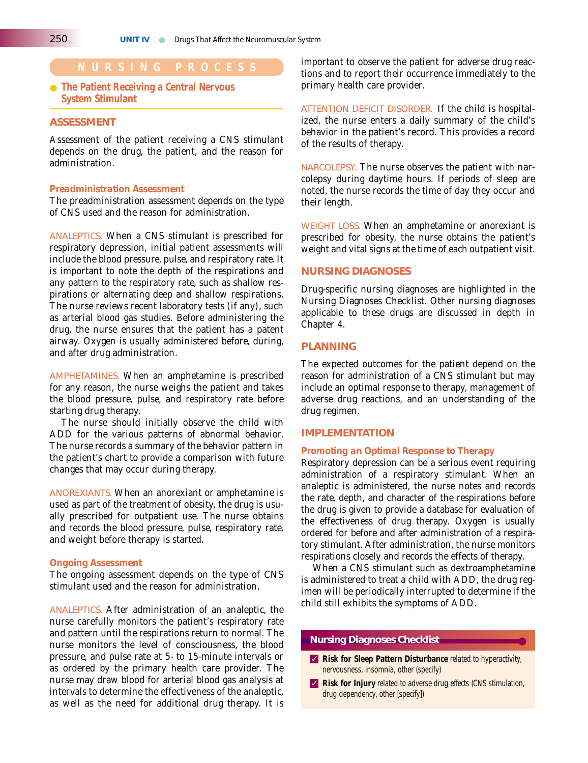#### ● **The Patient Receiving a Central Nervous System Stimulant**

#### **ASSESSMENT**

Assessment of the patient receiving a CNS stimulant depends on the drug, the patient, and the reason for administration.

#### *Preadministration Assessment*

The preadministration assessment depends on the type of CNS used and the reason for administration.

ANALEPTICS. When a CNS stimulant is prescribed for respiratory depression, initial patient assessments will include the blood pressure, pulse, and respiratory rate. It is important to note the depth of the respirations and any pattern to the respiratory rate, such as shallow respirations or alternating deep and shallow respirations. The nurse reviews recent laboratory tests (if any), such as arterial blood gas studies. Before administering the drug, the nurse ensures that the patient has a patent airway. Oxygen is usually administered before, during, and after drug administration.

AMPHETAMINES. When an amphetamine is prescribed for any reason, the nurse weighs the patient and takes the blood pressure, pulse, and respiratory rate before starting drug therapy.

The nurse should initially observe the child with ADD for the various patterns of abnormal behavior. The nurse records a summary of the behavior pattern in the patient's chart to provide a comparison with future changes that may occur during therapy.

ANOREXIANTS. When an anorexiant or amphetamine is used as part of the treatment of obesity, the drug is usually prescribed for outpatient use. The nurse obtains and records the blood pressure, pulse, respiratory rate, and weight before therapy is started.

#### *Ongoing Assessment*

The ongoing assessment depends on the type of CNS stimulant used and the reason for administration.

ANALEPTICS. After administration of an analeptic, the nurse carefully monitors the patient's respiratory rate and pattern until the respirations return to normal. The nurse monitors the level of consciousness, the blood pressure, and pulse rate at 5- to 15-minute intervals or as ordered by the primary health care provider. The nurse may draw blood for arterial blood gas analysis at intervals to determine the effectiveness of the analeptic, as well as the need for additional drug therapy. It is

**NURSING PROCESS** important to observe the patient for adverse drug reactions and to report their occurrence immediately to the primary health care provider.

> ATTENTION DEFICIT DISORDER. If the child is hospitalized, the nurse enters a daily summary of the child's behavior in the patient's record. This provides a record of the results of therapy.

> NARCOLEPSY. The nurse observes the patient with narcolepsy during daytime hours. If periods of sleep are noted, the nurse records the time of day they occur and their length.

> WEIGHT LOSS. When an amphetamine or anorexiant is prescribed for obesity, the nurse obtains the patient's weight and vital signs at the time of each outpatient visit.

#### **NURSING DIAGNOSES**

Drug-specific nursing diagnoses are highlighted in the Nursing Diagnoses Checklist. Other nursing diagnoses applicable to these drugs are discussed in depth in Chapter 4.

#### **PLANNING**

The expected outcomes for the patient depend on the reason for administration of a CNS stimulant but may include an optimal response to therapy, management of adverse drug reactions, and an understanding of the drug regimen.

#### **IMPLEMENTATION**

#### *Promoting an Optimal Response to Therapy*

Respiratory depression can be a serious event requiring administration of a respiratory stimulant. When an analeptic is administered, the nurse notes and records the rate, depth, and character of the respirations before the drug is given to provide a database for evaluation of the effectiveness of drug therapy. Oxygen is usually ordered for before and after administration of a respiratory stimulant. After administration, the nurse monitors respirations closely and records the effects of therapy.

When a CNS stimulant such as dextroamphetamine is administered to treat a child with ADD, the drug regimen will be periodically interrupted to determine if the child still exhibits the symptoms of ADD.

#### **Nursing Diagnoses Checklist**

- ✓ **Risk for Sleep Pattern Disturbance** related to hyperactivity, nervousness, insomnia, other (specify)
- ✓ **Risk for Injury** related to adverse drug effects (CNS stimulation, drug dependency, other [specify])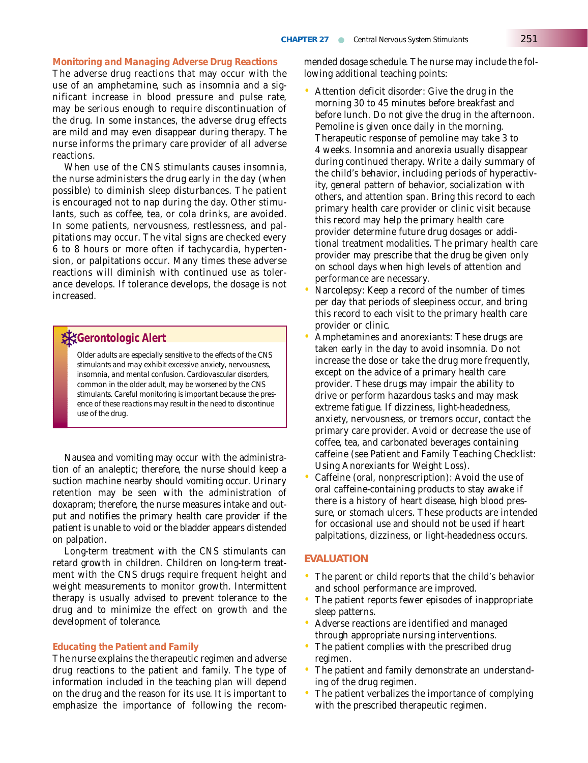#### *Monitoring and Managing Adverse Drug Reactions*

The adverse drug reactions that may occur with the use of an amphetamine, such as insomnia and a significant increase in blood pressure and pulse rate, may be serious enough to require discontinuation of the drug. In some instances, the adverse drug effects are mild and may even disappear during therapy. The nurse informs the primary care provider of all adverse reactions.

When use of the CNS stimulants causes insomnia, the nurse administers the drug early in the day (when possible) to diminish sleep disturbances. The patient is encouraged not to nap during the day. Other stimulants, such as coffee, tea, or cola drinks, are avoided. In some patients, nervousness, restlessness, and palpitations may occur. The vital signs are checked every 6 to 8 hours or more often if tachycardia, hypertension, or palpitations occur. Many times these adverse reactions will diminish with continued use as tolerance develops. If tolerance develops, the dosage is not increased.

## **SK** Gerontologic Alert

*Older adults are especially sensitive to the effects of the CNS stimulants and may exhibit excessive anxiety, nervousness, insomnia, and mental confusion. Cardiovascular disorders, common in the older adult, may be worsened by the CNS stimulants. Careful monitoring is important because the presence of these reactions may result in the need to discontinue use of the drug.*

Nausea and vomiting may occur with the administration of an analeptic; therefore, the nurse should keep a suction machine nearby should vomiting occur. Urinary retention may be seen with the administration of doxapram; therefore, the nurse measures intake and output and notifies the primary health care provider if the patient is unable to void or the bladder appears distended on palpation.

Long-term treatment with the CNS stimulants can retard growth in children. Children on long-term treatment with the CNS drugs require frequent height and weight measurements to monitor growth. Intermittent therapy is usually advised to prevent tolerance to the drug and to minimize the effect on growth and the development of tolerance.

#### *Educating the Patient and Family*

The nurse explains the therapeutic regimen and adverse drug reactions to the patient and family. The type of information included in the teaching plan will depend on the drug and the reason for its use. It is important to emphasize the importance of following the recommended dosage schedule. The nurse may include the following additional teaching points:

- Attention deficit disorder: Give the drug in the morning 30 to 45 minutes before breakfast and before lunch. Do not give the drug in the afternoon. Pemoline is given once daily in the morning. Therapeutic response of pemoline may take 3 to 4 weeks. Insomnia and anorexia usually disappear during continued therapy. Write a daily summary of the child's behavior, including periods of hyperactivity, general pattern of behavior, socialization with others, and attention span. Bring this record to each primary health care provider or clinic visit because this record may help the primary health care provider determine future drug dosages or additional treatment modalities. The primary health care provider may prescribe that the drug be given only on school days when high levels of attention and performance are necessary.
- Narcolepsy: Keep a record of the number of times per day that periods of sleepiness occur, and bring this record to each visit to the primary health care provider or clinic.
- Amphetamines and anorexiants: These drugs are taken early in the day to avoid insomnia. Do not increase the dose or take the drug more frequently, except on the advice of a primary health care provider. These drugs may impair the ability to drive or perform hazardous tasks and may mask extreme fatigue. If dizziness, light-headedness, anxiety, nervousness, or tremors occur, contact the primary care provider. Avoid or decrease the use of coffee, tea, and carbonated beverages containing caffeine (see Patient and Family Teaching Checklist: Using Anorexiants for Weight Loss).
- Caffeine (oral, nonprescription): Avoid the use of oral caffeine-containing products to stay awake if there is a history of heart disease, high blood pressure, or stomach ulcers. These products are intended for occasional use and should not be used if heart palpitations, dizziness, or light-headedness occurs.

#### **EVALUATION**

- The parent or child reports that the child's behavior and school performance are improved.
- The patient reports fewer episodes of inappropriate sleep patterns.
- Adverse reactions are identified and managed through appropriate nursing interventions.
- The patient complies with the prescribed drug regimen.
- The patient and family demonstrate an understanding of the drug regimen.
- The patient verbalizes the importance of complying with the prescribed therapeutic regimen.